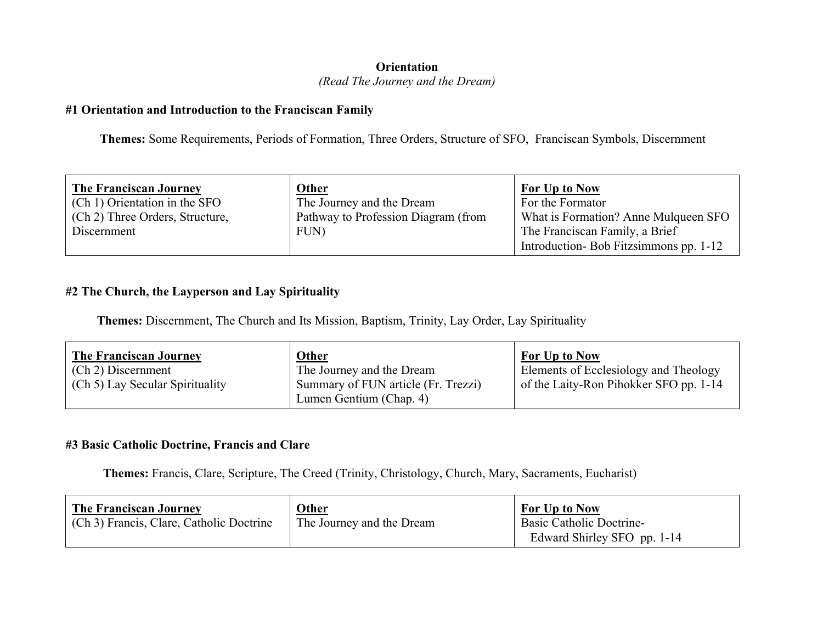## **Orientation** *(Read The Journey and the Dream)*

#### **#1 Orientation and Introduction to the Franciscan Family**

 **Themes:** Some Requirements, Periods of Formation, Three Orders, Structure of SFO, Franciscan Symbols, Discernment

| <b>The Franciscan Journey</b><br>(Ch 1) Orientation in the SFO | <b>Other</b><br>The Journey and the Dream | <b>For Up to Now</b><br>For the Formator                                |
|----------------------------------------------------------------|-------------------------------------------|-------------------------------------------------------------------------|
| (Ch 2) Three Orders, Structure,                                | Pathway to Profession Diagram (from       | What is Formation? Anne Mulqueen SFO                                    |
| Discernment                                                    | FUN)                                      | The Franciscan Family, a Brief<br>Introduction-Bob Fitzsimmons pp. 1-12 |

## **#2 The Church, the Layperson and Lay Spirituality**

 **Themes:** Discernment, The Church and Its Mission, Baptism, Trinity, Lay Order, Lay Spirituality

| <b>The Franciscan Journey</b><br>(Ch 2) Discernment | <b>Other</b><br>The Journey and the Dream | <b>For Up to Now</b><br>Elements of Ecclesiology and Theology |
|-----------------------------------------------------|-------------------------------------------|---------------------------------------------------------------|
| (Ch 5) Lay Secular Spirituality                     | Summary of FUN article (Fr. Trezzi)       | of the Laity-Ron Pihokker SFO pp. 1-14                        |
|                                                     | Lumen Gentium (Chap. 4)                   |                                                               |

#### **#3 Basic Catholic Doctrine, Francis and Clare**

 **Themes:** Francis, Clare, Scripture, The Creed (Trinity, Christology, Church, Mary, Sacraments, Eucharist)

| <b>The Franciscan Journey</b><br>(Ch 3) Francis, Clare, Catholic Doctrine | Other<br>The Journey and the Dream | For Up to Now<br><b>Basic Catholic Doctrine-</b><br>Edward Shirley SFO pp. 1-14 |
|---------------------------------------------------------------------------|------------------------------------|---------------------------------------------------------------------------------|
|                                                                           |                                    |                                                                                 |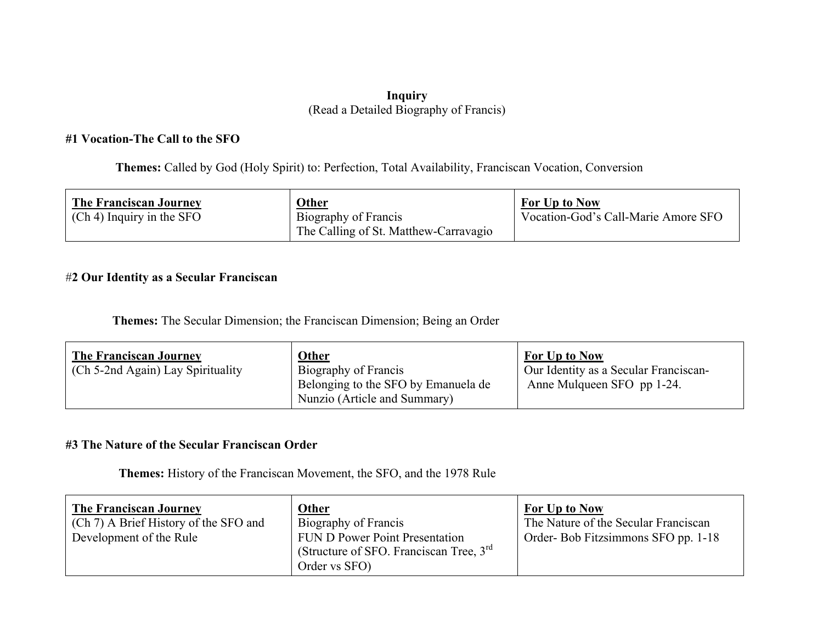#### **Inquiry** (Read a Detailed Biography of Francis)

#### **#1 Vocation-The Call to the SFO**

 **Themes:** Called by God (Holy Spirit) to: Perfection, Total Availability, Franciscan Vocation, Conversion

| <b>The Franciscan Journey</b> | Other                                 | <b>For Up to Now</b>                |
|-------------------------------|---------------------------------------|-------------------------------------|
| $(Ch 4)$ Inquiry in the SFO   | Biography of Francis                  | Vocation-God's Call-Marie Amore SFO |
|                               | The Calling of St. Matthew-Carravagio |                                     |

## #**2 Our Identity as a Secular Franciscan**

 **Themes:** The Secular Dimension; the Franciscan Dimension; Being an Order

| <b>The Franciscan Journey</b>            | Other                                                                                       | <b>For Up to Now</b>                                                |
|------------------------------------------|---------------------------------------------------------------------------------------------|---------------------------------------------------------------------|
| $\sim$ (Ch 5-2nd Again) Lay Spirituality | Biography of Francis<br>Belonging to the SFO by Emanuela de<br>Nunzio (Article and Summary) | Our Identity as a Secular Franciscan-<br>Anne Mulqueen SFO pp 1-24. |

#### **#3 The Nature of the Secular Franciscan Order**

**Themes:** History of the Franciscan Movement, the SFO, and the 1978 Rule

| <b>The Franciscan Journey</b><br>(Ch 7) A Brief History of the SFO and<br>Development of the Rule | <b>Other</b><br>Biography of Francis<br><b>FUN D Power Point Presentation</b><br>(Structure of SFO. Franciscan Tree, $3rd$<br>Order vs SFO) | For Up to Now<br>The Nature of the Secular Franciscan<br>Order-Bob Fitzsimmons SFO pp. 1-18 |
|---------------------------------------------------------------------------------------------------|---------------------------------------------------------------------------------------------------------------------------------------------|---------------------------------------------------------------------------------------------|
|---------------------------------------------------------------------------------------------------|---------------------------------------------------------------------------------------------------------------------------------------------|---------------------------------------------------------------------------------------------|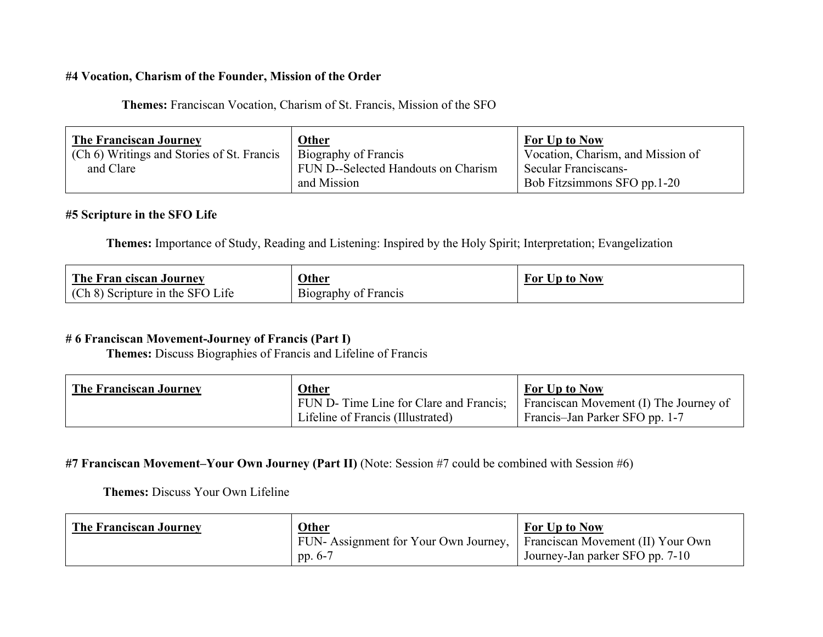#### **#4 Vocation, Charism of the Founder, Mission of the Order**

 **Themes:** Franciscan Vocation, Charism of St. Francis, Mission of the SFO

| <b>The Franciscan Journey</b>              | <b>Other</b>                        | <b>For Up to Now</b>              |
|--------------------------------------------|-------------------------------------|-----------------------------------|
| (Ch 6) Writings and Stories of St. Francis | Biography of Francis                | Vocation, Charism, and Mission of |
| and Clare                                  | FUN D--Selected Handouts on Charism | Secular Franciscans-              |
|                                            | and Mission                         | Bob Fitzsimmons SFO pp.1-20       |

## **#5 Scripture in the SFO Life**

 **Themes:** Importance of Study, Reading and Listening: Inspired by the Holy Spirit; Interpretation; Evangelization

| The Fran ciscan Journey          | <b>Other</b>         | For Up to Now |
|----------------------------------|----------------------|---------------|
| (Ch 8) Scripture in the SFO Life | Biography of Francis |               |

## **# 6 Franciscan Movement-Journey of Francis (Part I)**

 **Themes:** Discuss Biographies of Francis and Lifeline of Francis

| <b>The Franciscan Journey</b> | <b>Other</b>                            | For Up to Now                          |
|-------------------------------|-----------------------------------------|----------------------------------------|
|                               | FUN D- Time Line for Clare and Francis; | Franciscan Movement (I) The Journey of |
|                               | Lifeline of Francis (Illustrated)       | Francis-Jan Parker SFO pp. 1-7         |

#### **#7 Franciscan Movement–Your Own Journey (Part II)** (Note: Session #7 could be combined with Session #6)

#### **Themes:** Discuss Your Own Lifeline

| <b>The Franciscan Journey</b> | Other                                                                   | For Up to Now                   |
|-------------------------------|-------------------------------------------------------------------------|---------------------------------|
|                               | FUN- Assignment for Your Own Journey, Franciscan Movement (II) Your Own |                                 |
|                               | pp. $6-7$                                                               | Journey-Jan parker SFO pp. 7-10 |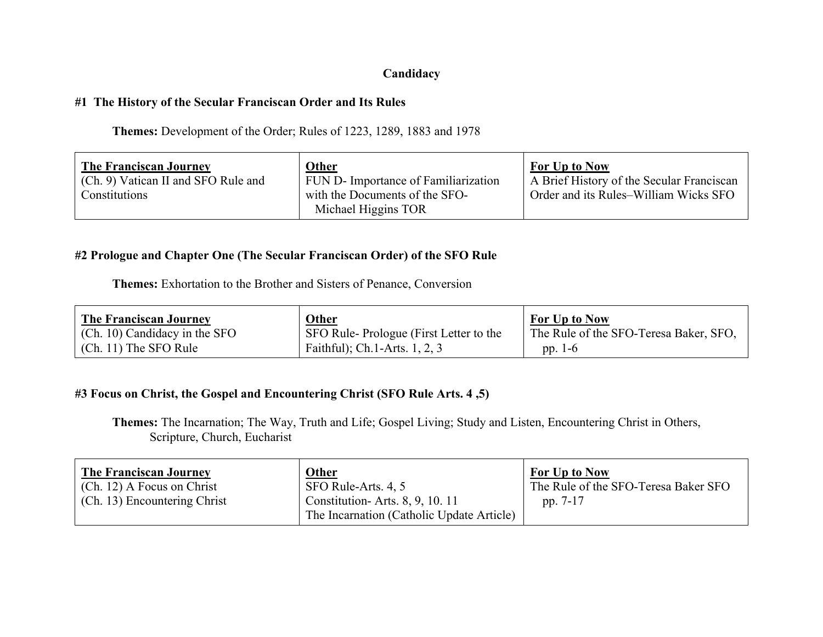## **Candidacy**

#### **#1 The History of the Secular Franciscan Order and Its Rules**

**Themes:** Development of the Order; Rules of 1223, 1289, 1883 and 1978

#### **#2 Prologue and Chapter One (The Secular Franciscan Order) of the SFO Rule**

**Themes:** Exhortation to the Brother and Sisters of Penance, Conversion

| <b>The Franciscan Journey</b>   | Other                                  | <b>For Up to Now</b>                   |
|---------------------------------|----------------------------------------|----------------------------------------|
| $(Ch. 10)$ Candidacy in the SFO | SFO Rule-Prologue (First Letter to the | The Rule of the SFO-Teresa Baker, SFO, |
| $\vert$ (Ch. 11) The SFO Rule   | Faithful); Ch. 1-Arts. $1, 2, 3$       | pp. $1-6$                              |

## **#3 Focus on Christ, the Gospel and Encountering Christ (SFO Rule Arts. 4 ,5)**

**Themes:** The Incarnation; The Way, Truth and Life; Gospel Living; Study and Listen, Encountering Christ in Others, Scripture, Church, Eucharist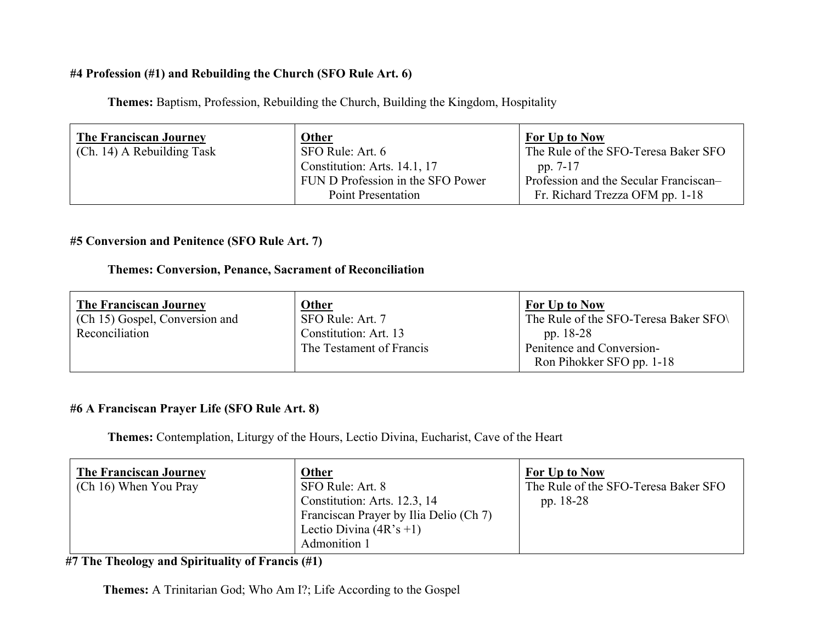## **#4 Profession (#1) and Rebuilding the Church (SFO Rule Art. 6)**

**Themes:** Baptism, Profession, Rebuilding the Church, Building the Kingdom, Hospitality

| <b>The Franciscan Journey</b><br>(Ch. 14) A Rebuilding Task | <b>Other</b><br>SFO Rule: Art. 6<br>Constitution: Arts. 14.1, 17 | <b>For Up to Now</b><br>The Rule of the SFO-Teresa Baker SFO<br>pp. 7-17  |
|-------------------------------------------------------------|------------------------------------------------------------------|---------------------------------------------------------------------------|
|                                                             | FUN D Profession in the SFO Power<br><b>Point Presentation</b>   | Profession and the Secular Franciscan-<br>Fr. Richard Trezza OFM pp. 1-18 |

## **#5 Conversion and Penitence (SFO Rule Art. 7)**

### **Themes: Conversion, Penance, Sacrament of Reconciliation**

| <b>The Franciscan Journey</b>  | Other                                             | For Up to Now                                                       |
|--------------------------------|---------------------------------------------------|---------------------------------------------------------------------|
| (Ch 15) Gospel, Conversion and | SFO Rule: Art. 7                                  | The Rule of the SFO-Teresa Baker SFO                                |
| Reconciliation                 | Constitution: Art. 13<br>The Testament of Francis | pp. 18-28<br>Penitence and Conversion-<br>Ron Pihokker SFO pp. 1-18 |

## **#6 A Franciscan Prayer Life (SFO Rule Art. 8)**

**Themes:** Contemplation, Liturgy of the Hours, Lectio Divina, Eucharist, Cave of the Heart

| <b>The Franciscan Journey</b><br>(Ch 16) When You Pray | <b>Other</b><br>SFO Rule: Art. 8       | For Up to Now<br>The Rule of the SFO-Teresa Baker SFO |
|--------------------------------------------------------|----------------------------------------|-------------------------------------------------------|
|                                                        | Constitution: Arts. 12.3, 14           | pp. 18-28                                             |
|                                                        | Franciscan Prayer by Ilia Delio (Ch 7) |                                                       |
|                                                        | Lectio Divina $(4R's +1)$              |                                                       |
|                                                        | Admonition 1                           |                                                       |

**#7 The Theology and Spirituality of Francis (#1)**

**Themes:** A Trinitarian God; Who Am I?; Life According to the Gospel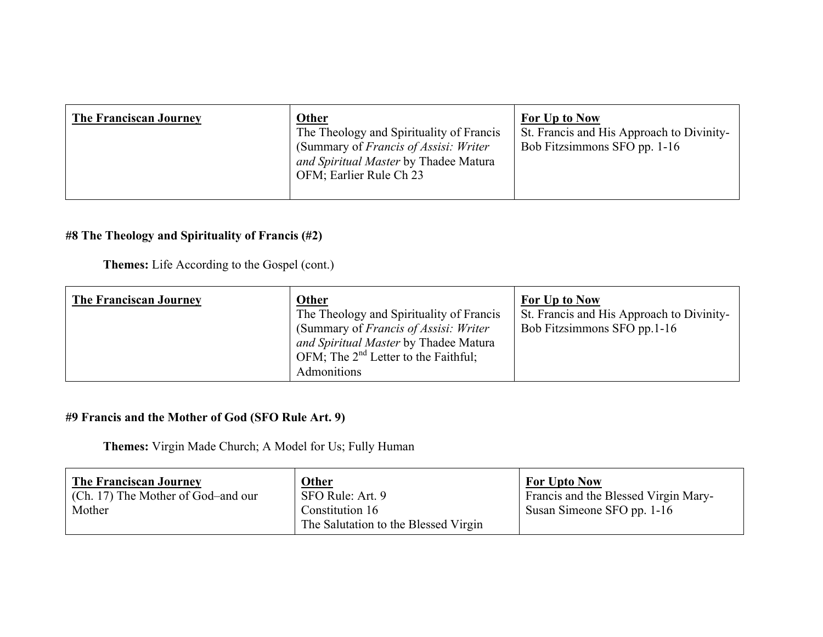| The Franciscan Journey | <b>Other</b><br>The Theology and Spirituality of Francis<br>(Summary of <i>Francis of Assisi: Writer</i> )<br>and Spiritual Master by Thadee Matura<br>OFM; Earlier Rule Ch 23 | <b>For Up to Now</b><br>St. Francis and His Approach to Divinity-<br>Bob Fitzsimmons SFO pp. 1-16 |
|------------------------|--------------------------------------------------------------------------------------------------------------------------------------------------------------------------------|---------------------------------------------------------------------------------------------------|
|                        |                                                                                                                                                                                |                                                                                                   |

## **#8 The Theology and Spirituality of Francis (#2)**

**Themes:** Life According to the Gospel (cont.)

| Admonitions | <b>The Franciscan Journey</b> | <b>Other</b><br>The Theology and Spirituality of Francis<br>(Summary of Francis of Assisi: Writer)<br>and Spiritual Master by Thadee Matura<br>OFM; The $2^{nd}$ Letter to the Faithful; | For Up to Now<br>St. Francis and His Approach to Divinity-<br>Bob Fitzsimmons SFO pp.1-16 |
|-------------|-------------------------------|------------------------------------------------------------------------------------------------------------------------------------------------------------------------------------------|-------------------------------------------------------------------------------------------|
|-------------|-------------------------------|------------------------------------------------------------------------------------------------------------------------------------------------------------------------------------------|-------------------------------------------------------------------------------------------|

# **#9 Francis and the Mother of God (SFO Rule Art. 9)**

**Themes:** Virgin Made Church; A Model for Us; Fully Human

| <b>The Franciscan Journey</b><br>(Ch. 17) The Mother of God-and our<br>Mother | Other<br>SFO Rule: Art. 9<br>Constitution 16<br>The Salutation to the Blessed Virgin | <b>For Upto Now</b><br>Francis and the Blessed Virgin Mary-<br>Susan Simeone SFO pp. 1-16 |
|-------------------------------------------------------------------------------|--------------------------------------------------------------------------------------|-------------------------------------------------------------------------------------------|
|                                                                               |                                                                                      |                                                                                           |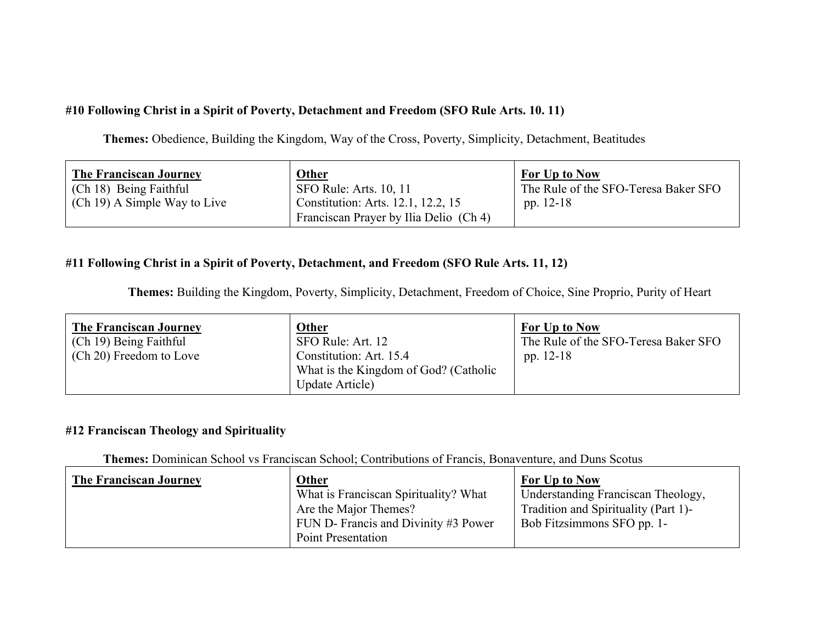## **#10 Following Christ in a Spirit of Poverty, Detachment and Freedom (SFO Rule Arts. 10. 11)**

**Themes:** Obedience, Building the Kingdom, Way of the Cross, Poverty, Simplicity, Detachment, Beatitudes

| <b>The Franciscan Journey</b> | Other                                                                        | <b>For Up to Now</b>                 |
|-------------------------------|------------------------------------------------------------------------------|--------------------------------------|
| (Ch 18) Being Faithful        | SFO Rule: Arts. 10, 11                                                       | The Rule of the SFO-Teresa Baker SFO |
| (Ch 19) A Simple Way to Live  | Constitution: Arts. 12.1, 12.2, 15<br>Franciscan Prayer by Ilia Delio (Ch 4) | pp. 12-18                            |

## **#11 Following Christ in a Spirit of Poverty, Detachment, and Freedom (SFO Rule Arts. 11, 12)**

 **Themes:** Building the Kingdom, Poverty, Simplicity, Detachment, Freedom of Choice, Sine Proprio, Purity of Heart

| <b>The Franciscan Journey</b><br>(Ch 19) Being Faithful | Other<br>SFO Rule: Art. 12                               | For Up to Now<br>The Rule of the SFO-Teresa Baker SFO |
|---------------------------------------------------------|----------------------------------------------------------|-------------------------------------------------------|
| (Ch 20) Freedom to Love                                 | Constitution: Art. 15.4                                  | pp. $12-18$                                           |
|                                                         | What is the Kingdom of God? (Catholic<br>Update Article) |                                                       |

## **#12 Franciscan Theology and Spirituality**

**Themes:** Dominican School vs Franciscan School; Contributions of Francis, Bonaventure, and Duns Scotus

| <b>The Franciscan Journey</b> | <b>Other</b>                          | For Up to Now                        |
|-------------------------------|---------------------------------------|--------------------------------------|
|                               | What is Franciscan Spirituality? What | Understanding Franciscan Theology,   |
|                               | Are the Major Themes?                 | Tradition and Spirituality (Part 1)- |
|                               | FUN D- Francis and Divinity #3 Power  | Bob Fitzsimmons SFO pp. 1-           |
|                               | <b>Point Presentation</b>             |                                      |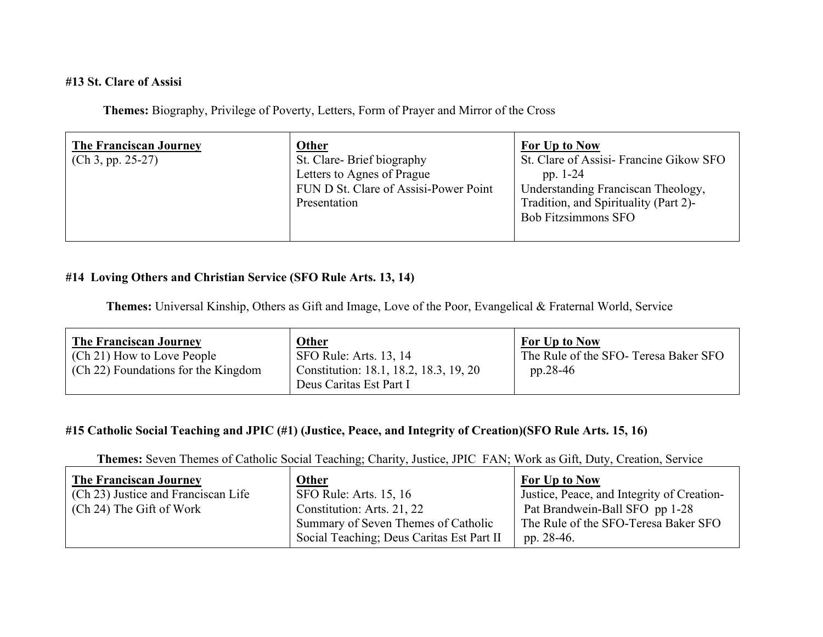#### **#13 St. Clare of Assisi**

**Themes:** Biography, Privilege of Poverty, Letters, Form of Prayer and Mirror of the Cross

| <b>The Franciscan Journey</b> | <b>Other</b>                                                                                                     | <b>For Up to Now</b>                                                                                                                                              |
|-------------------------------|------------------------------------------------------------------------------------------------------------------|-------------------------------------------------------------------------------------------------------------------------------------------------------------------|
| $(Ch 3, pp. 25-27)$           | St. Clare-Brief biography<br>Letters to Agnes of Prague<br>FUN D St. Clare of Assisi-Power Point<br>Presentation | St. Clare of Assisi-Francine Gikow SFO<br>pp. $1-24$<br>Understanding Franciscan Theology,<br>Tradition, and Spirituality (Part 2)-<br><b>Bob Fitzsimmons SFO</b> |
|                               |                                                                                                                  |                                                                                                                                                                   |

## **#14 Loving Others and Christian Service (SFO Rule Arts. 13, 14)**

 **Themes:** Universal Kinship, Others as Gift and Image, Love of the Poor, Evangelical & Fraternal World, Service

| <b>The Franciscan Journey</b>                                     | Other                                                            | For Up to Now                                       |
|-------------------------------------------------------------------|------------------------------------------------------------------|-----------------------------------------------------|
| (Ch 21) How to Love People<br>(Ch 22) Foundations for the Kingdom | SFO Rule: Arts. 13, 14<br>Constitution: 18.1, 18.2, 18.3, 19, 20 | The Rule of the SFO- Teresa Baker SFO<br>$pp.28-46$ |
|                                                                   | Deus Caritas Est Part I                                          |                                                     |

### **#15 Catholic Social Teaching and JPIC (#1) (Justice, Peace, and Integrity of Creation)(SFO Rule Arts. 15, 16)**

 **Themes:** Seven Themes of Catholic Social Teaching; Charity, Justice, JPIC FAN; Work as Gift, Duty, Creation, Service

| <b>The Franciscan Journey</b>       | <b>Other</b>                              | For Up to Now                              |
|-------------------------------------|-------------------------------------------|--------------------------------------------|
| (Ch 23) Justice and Franciscan Life | SFO Rule: Arts. 15, 16                    | Justice, Peace, and Integrity of Creation- |
| (Ch 24) The Gift of Work            | Constitution: Arts. 21, 22                | Pat Brandwein-Ball SFO pp 1-28             |
|                                     | Summary of Seven Themes of Catholic       | The Rule of the SFO-Teresa Baker SFO       |
|                                     | Social Teaching; Deus Caritas Est Part II | pp. 28-46.                                 |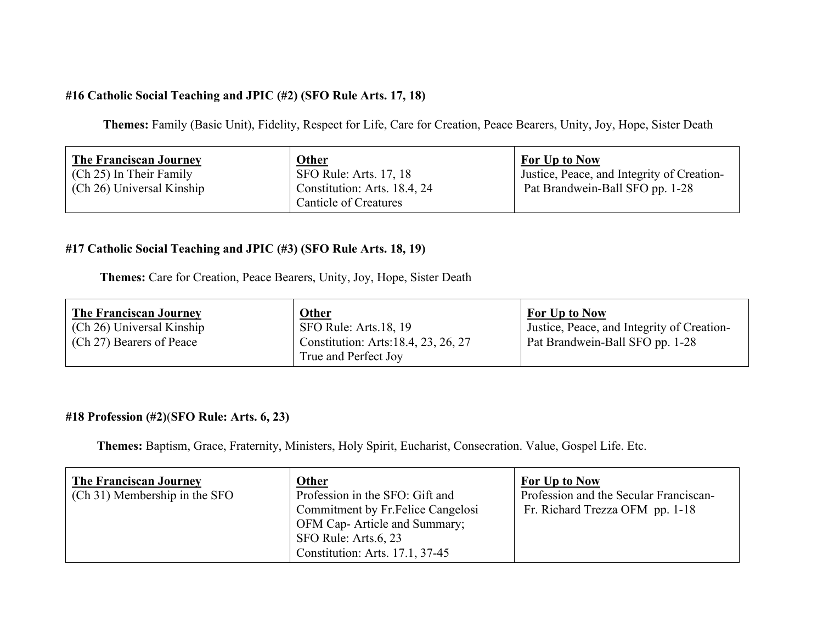## **#16 Catholic Social Teaching and JPIC (#2) (SFO Rule Arts. 17, 18)**

 **Themes:** Family (Basic Unit), Fidelity, Respect for Life, Care for Creation, Peace Bearers, Unity, Joy, Hope, Sister Death

## **#17 Catholic Social Teaching and JPIC (#3) (SFO Rule Arts. 18, 19)**

 **Themes:** Care for Creation, Peace Bearers, Unity, Joy, Hope, Sister Death

| <b>The Franciscan Journey</b> | <b>Other</b>                                                 | <b>For Up to Now</b>                       |
|-------------------------------|--------------------------------------------------------------|--------------------------------------------|
| (Ch 26) Universal Kinship     | $\vert$ SFO Rule: Arts.18, 19                                | Justice, Peace, and Integrity of Creation- |
| (Ch 27) Bearers of Peace      | Constitution: Arts: 18.4, 23, 26, 27<br>True and Perfect Joy | Pat Brandwein-Ball SFO pp. 1-28            |

## **#18 Profession (#2)**(**SFO Rule: Arts. 6, 23)**

**Themes:** Baptism, Grace, Fraternity, Ministers, Holy Spirit, Eucharist, Consecration. Value, Gospel Life. Etc.

| <b>The Franciscan Journey</b><br>(Ch 31) Membership in the SFO | Other<br>Profession in the SFO: Gift and<br>Commitment by Fr. Felice Cangelosi<br>OFM Cap-Article and Summary;<br>SFO Rule: Arts.6, 23 | For Up to Now<br>Profession and the Secular Franciscan-<br>Fr. Richard Trezza OFM pp. 1-18 |
|----------------------------------------------------------------|----------------------------------------------------------------------------------------------------------------------------------------|--------------------------------------------------------------------------------------------|
|                                                                | Constitution: Arts. 17.1, 37-45                                                                                                        |                                                                                            |